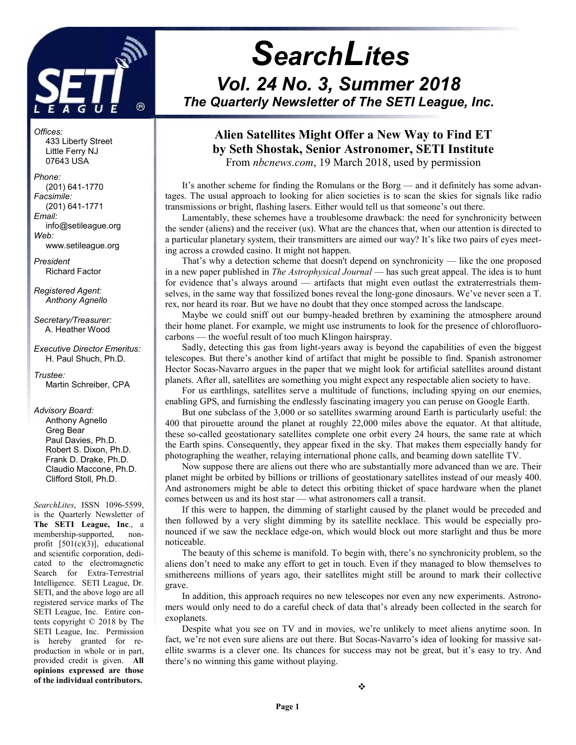

j

Offices: 433 Liberty Street Little Ferry NJ 07643 USA

Phone: (201) 641-1770 Facsimile: (201) 641-1771 Email: info@setileague.org Web: www.setileague.org

President Richard Factor

Registered Agent: Anthony Agnello

Secretary/Treasurer: A. Heather Wood

Executive Director Emeritus: H. Paul Shuch, Ph.D.

Trustee: Martin Schreiber, CPA

Advisory Board: Anthony Agnello Greg Bear Paul Davies, Ph.D. Robert S. Dixon, Ph.D. Frank D. Drake, Ph.D. Claudio Maccone, Ph.D.

Clifford Stoll, Ph.D.

SearchLites, ISSN 1096-5599, is the Quarterly Newsletter of The SETI League, Inc., a membership-supported, nonprofit [501(c)(3)], educational and scientific corporation, dedicated to the electromagnetic Search for Extra-Terrestrial Intelligence. SETI League, Dr. SETI, and the above logo are all registered service marks of The SETI League, Inc. Entire contents copyright © 2018 by The SETI League, Inc. Permission is hereby granted for reproduction in whole or in part, provided credit is given. All opinions expressed are those of the individual contributors.

# **SearchLites** Vol. 24 No. 3, Summer 2018 The Quarterly Newsletter of The SETI League, Inc.

## Alien Satellites Might Offer a New Way to Find ET by Seth Shostak, Senior Astronomer, SETI Institute

From nbcnews.com, 19 March 2018, used by permission

It's another scheme for finding the Romulans or the Borg — and it definitely has some advantages. The usual approach to looking for alien societies is to scan the skies for signals like radio transmissions or bright, flashing lasers. Either would tell us that someone's out there.

Lamentably, these schemes have a troublesome drawback: the need for synchronicity between the sender (aliens) and the receiver (us). What are the chances that, when our attention is directed to a particular planetary system, their transmitters are aimed our way? It's like two pairs of eyes meeting across a crowded casino. It might not happen.

That's why a detection scheme that doesn't depend on synchronicity — like the one proposed in a new paper published in *The Astrophysical Journal* — has such great appeal. The idea is to hunt for evidence that's always around — artifacts that might even outlast the extraterrestrials themselves, in the same way that fossilized bones reveal the long-gone dinosaurs. We've never seen a T. rex, nor heard its roar. But we have no doubt that they once stomped across the landscape.

Maybe we could sniff out our bumpy-headed brethren by examining the atmosphere around their home planet. For example, we might use instruments to look for the presence of chlorofluorocarbons — the woeful result of too much Klingon hairspray.

Sadly, detecting this gas from light-years away is beyond the capabilities of even the biggest telescopes. But there's another kind of artifact that might be possible to find. Spanish astronomer Hector Socas-Navarro argues in the paper that we might look for artificial satellites around distant planets. After all, satellites are something you might expect any respectable alien society to have.

For us earthlings, satellites serve a multitude of functions, including spying on our enemies, enabling GPS, and furnishing the endlessly fascinating imagery you can peruse on Google Earth.

But one subclass of the 3,000 or so satellites swarming around Earth is particularly useful: the 400 that pirouette around the planet at roughly 22,000 miles above the equator. At that altitude, these so-called geostationary satellites complete one orbit every 24 hours, the same rate at which the Earth spins. Consequently, they appear fixed in the sky. That makes them especially handy for photographing the weather, relaying international phone calls, and beaming down satellite TV.

Now suppose there are aliens out there who are substantially more advanced than we are. Their planet might be orbited by billions or trillions of geostationary satellites instead of our measly 400. And astronomers might be able to detect this orbiting thicket of space hardware when the planet comes between us and its host star — what astronomers call a transit.

If this were to happen, the dimming of starlight caused by the planet would be preceded and then followed by a very slight dimming by its satellite necklace. This would be especially pronounced if we saw the necklace edge-on, which would block out more starlight and thus be more noticeable.

The beauty of this scheme is manifold. To begin with, there's no synchronicity problem, so the aliens don't need to make any effort to get in touch. Even if they managed to blow themselves to smithereens millions of years ago, their satellites might still be around to mark their collective grave.

In addition, this approach requires no new telescopes nor even any new experiments. Astronomers would only need to do a careful check of data that's already been collected in the search for exoplanets.

Despite what you see on TV and in movies, we're unlikely to meet aliens anytime soon. In fact, we're not even sure aliens are out there. But Socas-Navarro's idea of looking for massive satellite swarms is a clever one. Its chances for success may not be great, but it's easy to try. And there's no winning this game without playing.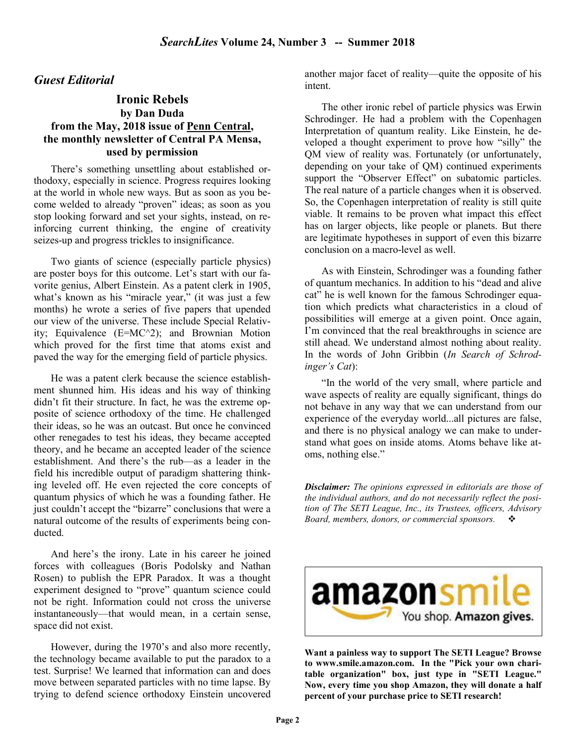#### Guest Editorial

#### Ironic Rebels by Dan Duda from the May, 2018 issue of Penn Central, the monthly newsletter of Central PA Mensa, used by permission

There's something unsettling about established orthodoxy, especially in science. Progress requires looking at the world in whole new ways. But as soon as you become welded to already "proven" ideas; as soon as you stop looking forward and set your sights, instead, on reinforcing current thinking, the engine of creativity seizes-up and progress trickles to insignificance.

Two giants of science (especially particle physics) are poster boys for this outcome. Let's start with our favorite genius, Albert Einstein. As a patent clerk in 1905, what's known as his "miracle year," (it was just a few months) he wrote a series of five papers that upended our view of the universe. These include Special Relativity; Equivalence (E=MC^2); and Brownian Motion which proved for the first time that atoms exist and paved the way for the emerging field of particle physics.

He was a patent clerk because the science establishment shunned him. His ideas and his way of thinking didn't fit their structure. In fact, he was the extreme opposite of science orthodoxy of the time. He challenged their ideas, so he was an outcast. But once he convinced other renegades to test his ideas, they became accepted theory, and he became an accepted leader of the science establishment. And there's the rub—as a leader in the field his incredible output of paradigm shattering thinking leveled off. He even rejected the core concepts of quantum physics of which he was a founding father. He just couldn't accept the "bizarre" conclusions that were a natural outcome of the results of experiments being conducted.

And here's the irony. Late in his career he joined forces with colleagues (Boris Podolsky and Nathan Rosen) to publish the EPR Paradox. It was a thought experiment designed to "prove" quantum science could not be right. Information could not cross the universe instantaneously—that would mean, in a certain sense, space did not exist.

However, during the 1970's and also more recently, the technology became available to put the paradox to a test. Surprise! We learned that information can and does move between separated particles with no time lapse. By trying to defend science orthodoxy Einstein uncovered another major facet of reality—quite the opposite of his intent.

The other ironic rebel of particle physics was Erwin Schrodinger. He had a problem with the Copenhagen Interpretation of quantum reality. Like Einstein, he developed a thought experiment to prove how "silly" the QM view of reality was. Fortunately (or unfortunately, depending on your take of QM) continued experiments support the "Observer Effect" on subatomic particles. The real nature of a particle changes when it is observed. So, the Copenhagen interpretation of reality is still quite viable. It remains to be proven what impact this effect has on larger objects, like people or planets. But there are legitimate hypotheses in support of even this bizarre conclusion on a macro-level as well.

As with Einstein, Schrodinger was a founding father of quantum mechanics. In addition to his "dead and alive cat" he is well known for the famous Schrodinger equation which predicts what characteristics in a cloud of possibilities will emerge at a given point. Once again, I'm convinced that the real breakthroughs in science are still ahead. We understand almost nothing about reality. In the words of John Gribbin (In Search of Schrodinger's Cat):

"In the world of the very small, where particle and wave aspects of reality are equally significant, things do not behave in any way that we can understand from our experience of the everyday world...all pictures are false, and there is no physical analogy we can make to understand what goes on inside atoms. Atoms behave like atoms, nothing else."

**Disclaimer:** The opinions expressed in editorials are those of the individual authors, and do not necessarily reflect the position of The SETI League, Inc., its Trustees, officers, Advisory Board, members, donors, or commercial sponsors.  $\cdot \cdot \cdot$ 



Want a painless way to support The SETI League? Browse to www.smile.amazon.com. In the "Pick your own charitable organization" box, just type in "SETI League." Now, every time you shop Amazon, they will donate a half percent of your purchase price to SETI research!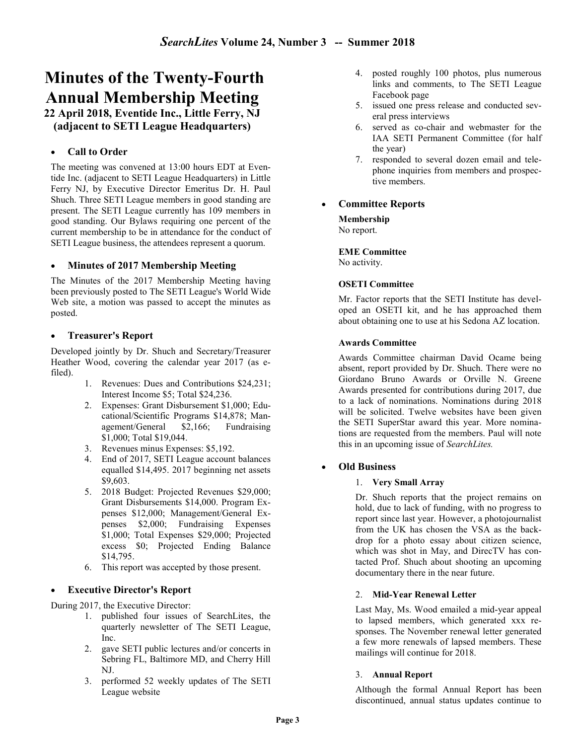## Minutes of the Twenty-Fourth Annual Membership Meeting

22 April 2018, Eventide Inc., Little Ferry, NJ (adjacent to SETI League Headquarters)

#### Call to Order

The meeting was convened at 13:00 hours EDT at Eventide Inc. (adjacent to SETI League Headquarters) in Little Ferry NJ, by Executive Director Emeritus Dr. H. Paul Shuch. Three SETI League members in good standing are present. The SETI League currently has 109 members in good standing. Our Bylaws requiring one percent of the current membership to be in attendance for the conduct of SETI League business, the attendees represent a quorum.

#### Minutes of 2017 Membership Meeting

The Minutes of the 2017 Membership Meeting having been previously posted to The SETI League's World Wide Web site, a motion was passed to accept the minutes as posted.

#### Treasurer's Report

Developed jointly by Dr. Shuch and Secretary/Treasurer Heather Wood, covering the calendar year 2017 (as efiled).

- 1. Revenues: Dues and Contributions \$24,231; Interest Income \$5; Total \$24,236.
- 2. Expenses: Grant Disbursement \$1,000; Educational/Scientific Programs \$14,878; Management/General \$2,166; Fundraising \$1,000; Total \$19,044.
- 3. Revenues minus Expenses: \$5,192.
- 4. End of 2017, SETI League account balances equalled \$14,495. 2017 beginning net assets \$9,603.
- 5. 2018 Budget: Projected Revenues \$29,000; Grant Disbursements \$14,000. Program Expenses \$12,000; Management/General Expenses \$2,000; Fundraising Expenses \$1,000; Total Expenses \$29,000; Projected excess \$0; Projected Ending Balance \$14,795.
- 6. This report was accepted by those present.

#### Executive Director's Report

During 2017, the Executive Director:

- 1. published four issues of SearchLites, the quarterly newsletter of The SETI League, Inc.
- 2. gave SETI public lectures and/or concerts in Sebring FL, Baltimore MD, and Cherry Hill NJ.
- 3. performed 52 weekly updates of The SETI League website
- 4. posted roughly 100 photos, plus numerous links and comments, to The SETI League Facebook page
- 5. issued one press release and conducted several press interviews
- 6. served as co-chair and webmaster for the IAA SETI Permanent Committee (for half the year)
- 7. responded to several dozen email and telephone inquiries from members and prospective members.

#### Committee Reports

Membership No report.

#### EME Committee

No activity.

#### OSETI Committee

Mr. Factor reports that the SETI Institute has developed an OSETI kit, and he has approached them about obtaining one to use at his Sedona AZ location.

#### Awards Committee

Awards Committee chairman David Ocame being absent, report provided by Dr. Shuch. There were no Giordano Bruno Awards or Orville N. Greene Awards presented for contributions during 2017, due to a lack of nominations. Nominations during 2018 will be solicited. Twelve websites have been given the SETI SuperStar award this year. More nominations are requested from the members. Paul will note this in an upcoming issue of SearchLites.

#### Old Business

#### 1. Very Small Array

Dr. Shuch reports that the project remains on hold, due to lack of funding, with no progress to report since last year. However, a photojournalist from the UK has chosen the VSA as the backdrop for a photo essay about citizen science, which was shot in May, and DirecTV has contacted Prof. Shuch about shooting an upcoming documentary there in the near future.

#### 2. Mid-Year Renewal Letter

Last May, Ms. Wood emailed a mid-year appeal to lapsed members, which generated xxx responses. The November renewal letter generated a few more renewals of lapsed members. These mailings will continue for 2018.

#### 3. Annual Report

Although the formal Annual Report has been discontinued, annual status updates continue to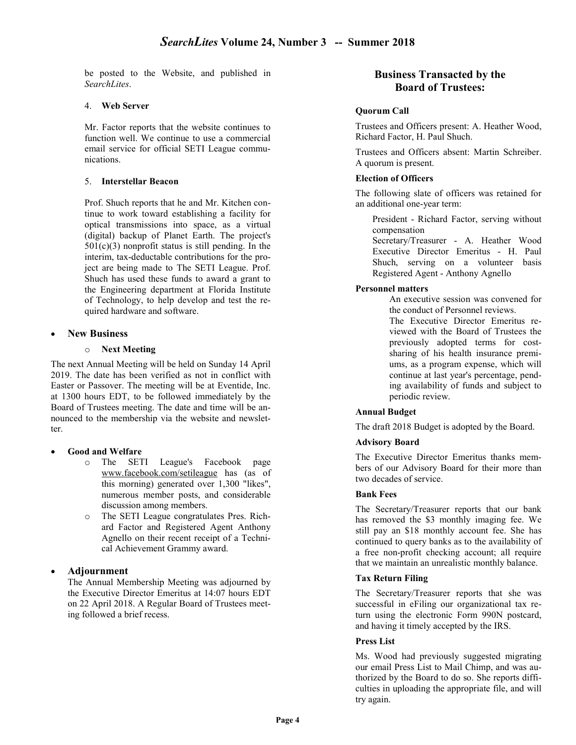be posted to the Website, and published in SearchLites.

#### 4. Web Server

Mr. Factor reports that the website continues to function well. We continue to use a commercial email service for official SETI League communications.

#### 5. Interstellar Beacon

Prof. Shuch reports that he and Mr. Kitchen continue to work toward establishing a facility for optical transmissions into space, as a virtual (digital) backup of Planet Earth. The project's  $501(c)(3)$  nonprofit status is still pending. In the interim, tax-deductable contributions for the project are being made to The SETI League. Prof. Shuch has used these funds to award a grant to the Engineering department at Florida Institute of Technology, to help develop and test the required hardware and software.

#### New Business

#### o Next Meeting

The next Annual Meeting will be held on Sunday 14 April 2019. The date has been verified as not in conflict with Easter or Passover. The meeting will be at Eventide, Inc. at 1300 hours EDT, to be followed immediately by the Board of Trustees meeting. The date and time will be announced to the membership via the website and newsletter.

#### Good and Welfare

- o The SETI League's Facebook page www.facebook.com/setileague has (as of this morning) generated over 1,300 "likes", numerous member posts, and considerable discussion among members.
- o The SETI League congratulates Pres. Richard Factor and Registered Agent Anthony Agnello on their recent receipt of a Technical Achievement Grammy award.

#### Adjournment

The Annual Membership Meeting was adjourned by the Executive Director Emeritus at 14:07 hours EDT on 22 April 2018. A Regular Board of Trustees meeting followed a brief recess.

#### Business Transacted by the Board of Trustees:

#### Quorum Call

Trustees and Officers present: A. Heather Wood, Richard Factor, H. Paul Shuch.

Trustees and Officers absent: Martin Schreiber. A quorum is present.

#### Election of Officers

The following slate of officers was retained for an additional one-year term:

President - Richard Factor, serving without compensation

Secretary/Treasurer - A. Heather Wood Executive Director Emeritus - H. Paul Shuch, serving on a volunteer basis Registered Agent - Anthony Agnello

#### Personnel matters

An executive session was convened for the conduct of Personnel reviews.

The Executive Director Emeritus reviewed with the Board of Trustees the previously adopted terms for costsharing of his health insurance premiums, as a program expense, which will continue at last year's percentage, pending availability of funds and subject to periodic review.

#### Annual Budget

The draft 2018 Budget is adopted by the Board.

#### Advisory Board

The Executive Director Emeritus thanks members of our Advisory Board for their more than two decades of service.

#### Bank Fees

The Secretary/Treasurer reports that our bank has removed the \$3 monthly imaging fee. We still pay an \$18 monthly account fee. She has continued to query banks as to the availability of a free non-profit checking account; all require that we maintain an unrealistic monthly balance.

#### Tax Return Filing

The Secretary/Treasurer reports that she was successful in eFiling our organizational tax return using the electronic Form 990N postcard, and having it timely accepted by the IRS.

#### Press List

Ms. Wood had previously suggested migrating our email Press List to Mail Chimp, and was authorized by the Board to do so. She reports difficulties in uploading the appropriate file, and will try again.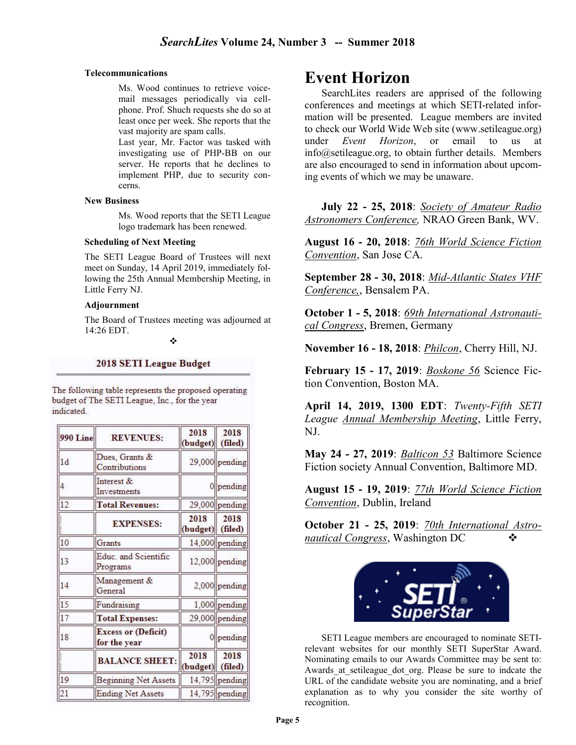#### Telecommunications

Ms. Wood continues to retrieve voicemail messages periodically via cellphone. Prof. Shuch requests she do so at least once per week. She reports that the vast majority are spam calls.

Last year, Mr. Factor was tasked with investigating use of PHP-BB on our server. He reports that he declines to implement PHP, due to security concerns.

#### New Business

Ms. Wood reports that the SETI League logo trademark has been renewed.

#### Scheduling of Next Meeting

The SETI League Board of Trustees will next meet on Sunday, 14 April 2019, immediately following the 25th Annual Membership Meeting, in Little Ferry NJ.

#### Adjournment

The Board of Trustees meeting was adjourned at 14:26 EDT.

#### the contract of the contract of the contract of the contract of the contract of the contract of the contract of

#### 2018 SETI League Budget

The following table represents the proposed operating budget of The SETI League, Inc., for the year indicated

| <b>990 Line</b> | <b>REVENUES:</b>                           | 2018<br>(budget) | 2018<br>(filed) |
|-----------------|--------------------------------------------|------------------|-----------------|
| 1d              | Dues, Grants &<br>Contributions            |                  | 29,000 pending  |
| 4               | Interest &<br>Investments                  |                  | $0$ pending     |
| 12              | <b>Total Revenues:</b>                     |                  | 29,000 pending  |
|                 | <b>EXPENSES:</b>                           | 2018<br>(budget) | 2018<br>(filed) |
| 10              | Grants                                     |                  | 14,000 pending  |
| 13              | Educ. and Scientific<br>Programs           |                  | 12,000 pending  |
| 14              | Management &<br>General                    |                  | 2,000 pending   |
| 15              | Fundraising                                |                  | 1,000 pending   |
| 17              | <b>Total Expenses:</b>                     |                  | 29,000 pending  |
| 18              | <b>Excess or (Deficit)</b><br>for the year |                  | 0 pending       |
|                 | <b>BALANCE SHEET:</b>                      | 2018<br>(budget) | 2018<br>(filed) |
| 19              | <b>Beginning Net Assets</b>                |                  | 14,795 pending  |
| 21              | <b>Ending Net Assets</b>                   |                  | 14,795 pending  |

## Event Horizon

SearchLites readers are apprised of the following conferences and meetings at which SETI-related information will be presented. League members are invited to check our World Wide Web site (www.setileague.org) under *Event Horizon*, or email to us at info@setileague.org, to obtain further details. Members are also encouraged to send in information about upcoming events of which we may be unaware.

July 22 - 25, 2018: Society of Amateur Radio Astronomers Conference, NRAO Green Bank, WV.

August 16 - 20, 2018: 76th World Science Fiction Convention, San Jose CA.

September 28 - 30, 2018: Mid-Atlantic States VHF Conference,, Bensalem PA.

October 1 - 5, 2018: 69th International Astronautical Congress, Bremen, Germany

November 16 - 18, 2018: Philcon, Cherry Hill, NJ.

February 15 - 17, 2019: Boskone 56 Science Fiction Convention, Boston MA.

April 14, 2019, 1300 EDT: Twenty-Fifth SETI League **Annual Membership Meeting**, Little Ferry, NJ.

May 24 - 27, 2019: Balticon 53 Baltimore Science Fiction society Annual Convention, Baltimore MD.

August 15 - 19, 2019: 77th World Science Fiction Convention, Dublin, Ireland

October 21 - 25, 2019: 70th International Astronautical Congress, Washington DC →



SETI League members are encouraged to nominate SETIrelevant websites for our monthly SETI SuperStar Award. Nominating emails to our Awards Committee may be sent to: Awards at setileague dot org. Please be sure to indcate the URL of the candidate website you are nominating, and a brief explanation as to why you consider the site worthy of recognition.